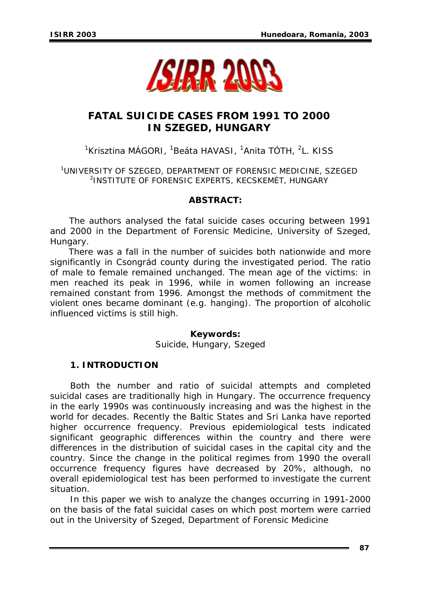

# **FATAL SUICIDE CASES FROM 1991 TO 2000 IN SZEGED, HUNGARY**

<sup>1</sup>Krisztina MÁGORI, <sup>1</sup>Beáta HAVASI, <sup>1</sup>Anita TÓTH, <sup>2</sup>L. KISS

1 UNIVERSITY OF SZEGED, DEPARTMENT OF FORENSIC MEDICINE, SZEGED 2 INSTITUTE OF FORENSIC EXPERTS, KECSKEMÉT, HUNGARY

### *ABSTRACT:*

*The authors analysed the fatal suicide cases occuring between 1991 and 2000 in the Department of Forensic Medicine, University of Szeged, Hungary.* 

 *There was a fall in the number of suicides both nationwide and more significantly in Csongrád county during the investigated period. The ratio of male to female remained unchanged. The mean age of the victims: in men reached its peak in 1996, while in women following an increase remained constant from 1996. Amongst the methods of commitment the violent ones became dominant (e.g. hanging). The proportion of alcoholic influenced victims is still high.* 

*Keywords:* 

*Suicide, Hungary, Szeged* 

### **1. INTRODUCTION**

Both the number and ratio of suicidal attempts and completed suicidal cases are traditionally high in Hungary. The occurrence frequency in the early 1990s was continuously increasing and was the highest in the world for decades. Recently the Baltic States and Sri Lanka have reported higher occurrence frequency. Previous epidemiological tests indicated significant geographic differences within the country and there were differences in the distribution of suicidal cases in the capital city and the country. Since the change in the political regimes from 1990 the overall occurrence frequency figures have decreased by 20%, although, no overall epidemiological test has been performed to investigate the current situation.

In this paper we wish to analyze the changes occurring in 1991-2000 on the basis of the fatal suicidal cases on which post mortem were carried out in the University of Szeged, Department of Forensic Medicine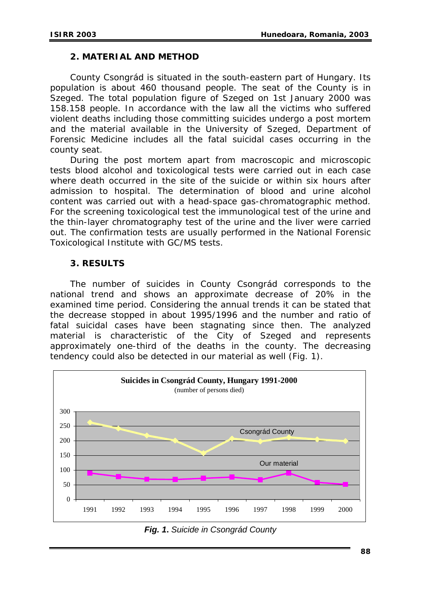#### **2. MATERIAL AND METHOD**

County Csongrád is situated in the south-eastern part of Hungary. Its population is about 460 thousand people. The seat of the County is in Szeged. The total population figure of Szeged on 1st January 2000 was 158.158 people. In accordance with the law all the victims who suffered violent deaths including those committing suicides undergo a post mortem and the material available in the University of Szeged, Department of Forensic Medicine includes all the fatal suicidal cases occurring in the county seat.

During the post mortem apart from macroscopic and microscopic tests blood alcohol and toxicological tests were carried out in each case where death occurred in the site of the suicide or within six hours after admission to hospital. The determination of blood and urine alcohol content was carried out with a head-space gas-chromatographic method. For the screening toxicological test the immunological test of the urine and the thin-layer chromatography test of the urine and the liver were carried out. The confirmation tests are usually performed in the National Forensic Toxicological Institute with GC/MS tests.

### **3. RESULTS**

The number of suicides in County Csongrád corresponds to the national trend and shows an approximate decrease of 20% in the examined time period. Considering the annual trends it can be stated that the decrease stopped in about 1995/1996 and the number and ratio of fatal suicidal cases have been stagnating since then. The analyzed material is characteristic of the City of Szeged and represents approximately one-third of the deaths in the county. The decreasing tendency could also be detected in our material as well (Fig. 1).



*Fig. 1***.** *Suicide in Csongrád County*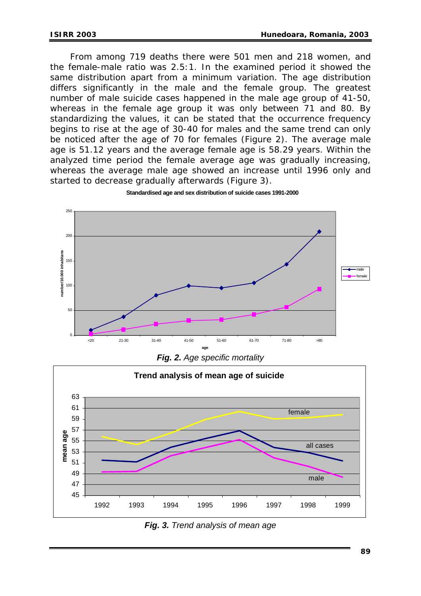From among 719 deaths there were 501 men and 218 women, and the female-male ratio was 2.5:1. In the examined period it showed the same distribution apart from a minimum variation. The age distribution differs significantly in the male and the female group. The greatest number of male suicide cases happened in the male age group of 41-50, whereas in the female age group it was only between 71 and 80. By standardizing the values, it can be stated that the occurrence frequency begins to rise at the age of 30-40 for males and the same trend can only be noticed after the age of 70 for females (Figure 2). The average male age is 51.12 years and the average female age is 58.29 years. Within the analyzed time period the female average age was gradually increasing, whereas the average male age showed an increase until 1996 only and started to decrease gradually afterwards (Figure 3).



**Standardised age and sex distribution of suicide cases 1991-2000**

*Fig. 2. Age specific mortality* 



*Fig. 3. Trend analysis of mean age*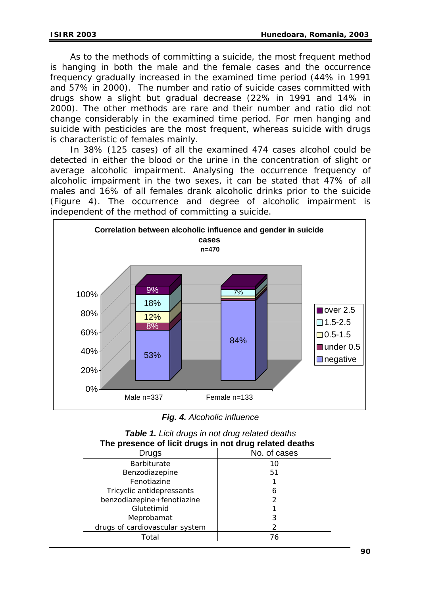As to the methods of committing a suicide, the most frequent method is hanging in both the male and the female cases and the occurrence frequency gradually increased in the examined time period (44% in 1991 and 57% in 2000). The number and ratio of suicide cases committed with drugs show a slight but gradual decrease (22% in 1991 and 14% in 2000). The other methods are rare and their number and ratio did not change considerably in the examined time period. For men hanging and suicide with pesticides are the most frequent, whereas suicide with drugs is characteristic of females mainly.

In 38% (125 cases) of all the examined 474 cases alcohol could be detected in either the blood or the urine in the concentration of slight or average alcoholic impairment. Analysing the occurrence frequency of alcoholic impairment in the two sexes, it can be stated that 47% of all males and 16% of all females drank alcoholic drinks prior to the suicide (Figure 4). The occurrence and degree of alcoholic impairment is independent of the method of committing a suicide.



*Fig. 4. Alcoholic influence* 

| <b>Table 11 Libit</b> druge in not aray related abatho<br>The presence of licit drugs in not drug related deaths |              |
|------------------------------------------------------------------------------------------------------------------|--------------|
| Drugs                                                                                                            | No. of cases |
| <b>Barbiturate</b>                                                                                               | 10           |
| Benzodiazepine                                                                                                   | 51           |
| Fenotiazine                                                                                                      |              |
| Tricyclic antidepressants                                                                                        | 6            |
| benzodiazepine+fenotiazine                                                                                       |              |
| Glutetimid                                                                                                       |              |
| Meprobamat                                                                                                       | 3            |
| drugs of cardiovascular system                                                                                   |              |
| Total                                                                                                            | 76           |

*Table 1. Licit drugs in not drug related deaths*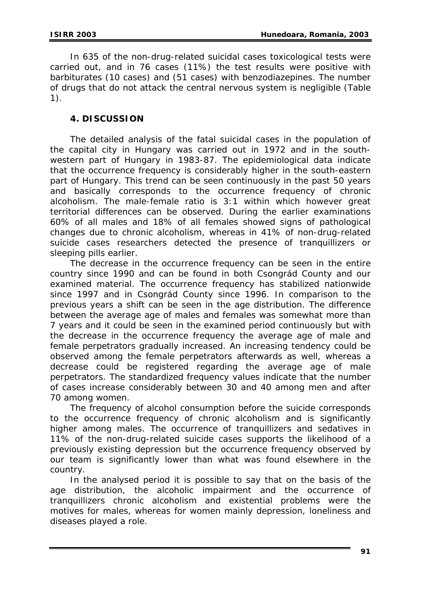In 635 of the non-drug-related suicidal cases toxicological tests were carried out, and in 76 cases (11%) the test results were positive with barbiturates (10 cases) and (51 cases) with benzodiazepines. The number of drugs that do not attack the central nervous system is negligible (Table 1).

## **4. DISCUSSION**

The detailed analysis of the fatal suicidal cases in the population of the capital city in Hungary was carried out in 1972 and in the southwestern part of Hungary in 1983-87. The epidemiological data indicate that the occurrence frequency is considerably higher in the south-eastern part of Hungary. This trend can be seen continuously in the past 50 years and basically corresponds to the occurrence frequency of chronic alcoholism. The male-female ratio is 3:1 within which however great territorial differences can be observed. During the earlier examinations 60% of all males and 18% of all females showed signs of pathological changes due to chronic alcoholism, whereas in 41% of non-drug-related suicide cases researchers detected the presence of tranquillizers or sleeping pills earlier.

The decrease in the occurrence frequency can be seen in the entire country since 1990 and can be found in both Csongrád County and our examined material. The occurrence frequency has stabilized nationwide since 1997 and in Csongrád County since 1996. In comparison to the previous years a shift can be seen in the age distribution. The difference between the average age of males and females was somewhat more than 7 years and it could be seen in the examined period continuously but with the decrease in the occurrence frequency the average age of male and female perpetrators gradually increased. An increasing tendency could be observed among the female perpetrators afterwards as well, whereas a decrease could be registered regarding the average age of male perpetrators. The standardized frequency values indicate that the number of cases increase considerably between 30 and 40 among men and after 70 among women.

The frequency of alcohol consumption before the suicide corresponds to the occurrence frequency of chronic alcoholism and is significantly higher among males. The occurrence of tranquillizers and sedatives in 11% of the non-drug-related suicide cases supports the likelihood of a previously existing depression but the occurrence frequency observed by our team is significantly lower than what was found elsewhere in the country.

In the analysed period it is possible to say that on the basis of the age distribution, the alcoholic impairment and the occurrence of tranquillizers chronic alcoholism and existential problems were the motives for males, whereas for women mainly depression, loneliness and diseases played a role.